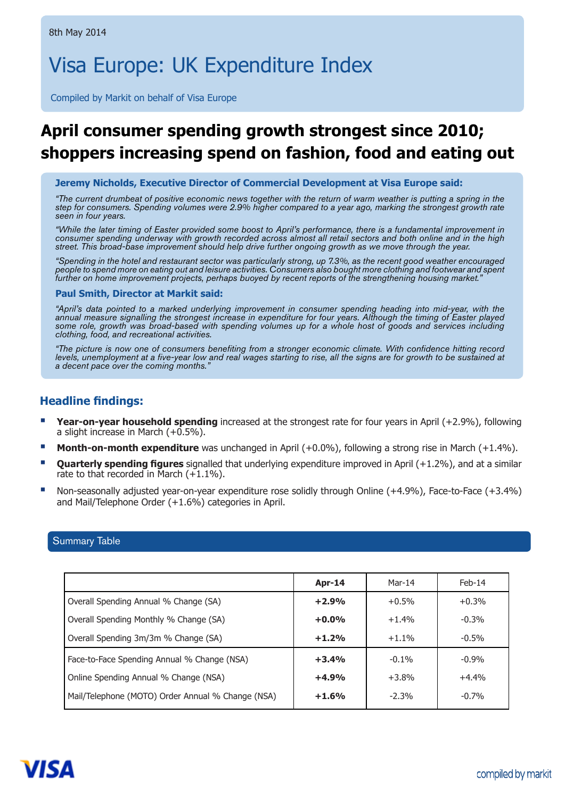# Visa Europe: UK Expenditure Index

Compiled by Markit on behalf of Visa Europe

# **April consumer spending growth strongest since 2010; shoppers increasing spend on fashion, food and eating out**

 **Jeremy Nicholds, Executive Director of Commercial Development at Visa Europe said:** 

*"The current drumbeat of positive economic news together with the return of warm weather is putting a spring in the step for consumers. Spending volumes were 2.9% higher compared to a year ago, marking the strongest growth rate seen in four years.* 

*"While the later timing of Easter provided some boost to April's performance, there is a fundamental improvement in consumer spending underway with growth recorded across almost all retail sectors and both online and in the high street. This broad-base improvement should help drive further ongoing growth as we move through the year.*

*"Spending in the hotel and restaurant sector was particularly strong, up 7.3%, as the recent good weather encouraged people to spend more on eating out and leisure activities. Consumers also bought more clothing and footwear and spent further on home improvement projects, perhaps buoyed by recent reports of the strengthening housing market."*

#### **Paul Smith, Director at Markit said:**

*"April's data pointed to a marked underlying improvement in consumer spending heading into mid-year, with the annual measure signalling the strongest increase in expenditure for four years. Although the timing of Easter played some role, growth was broad-based with spending volumes up for a whole host of goods and services including clothing, food, and recreational activities.* 

"The picture is now one of consumers benefiting from a stronger economic climate. With confidence hitting record levels, unemployment at a five-year low and real wages starting to rise, all the signs are for growth to be sustained at *a decent pace over the coming months."*

# **Headline findings:**

- **Year-on-year household spending** increased at the strongest rate for four years in April (+2.9%), following a slight increase in March (+0.5%).
- **Month-on-month expenditure** was unchanged in April (+0.0%), following a strong rise in March (+1.4%). п
- **Quarterly spending figures** signalled that underlying expenditure improved in April (+1.2%), and at a similar rate to that recorded in March  $(+1.1\%)$ . Ĩ.
- Non-seasonally adjusted year-on-year expenditure rose solidly through Online (+4.9%), Face-to-Face (+3.4%) and Mail/Telephone Order (+1.6%) categories in April.

## Summary Table

|                                                   | Apr-14  | Mar-14  | $Feb-14$ |
|---------------------------------------------------|---------|---------|----------|
| Overall Spending Annual % Change (SA)             | $+2.9%$ | $+0.5%$ | $+0.3%$  |
| Overall Spending Monthly % Change (SA)            | $+0.0%$ | $+1.4%$ | $-0.3%$  |
| Overall Spending 3m/3m % Change (SA)              | $+1.2%$ | $+1.1%$ | $-0.5%$  |
| Face-to-Face Spending Annual % Change (NSA)       | $+3.4%$ | $-0.1%$ | $-0.9%$  |
| Online Spending Annual % Change (NSA)             | $+4.9%$ | $+3.8%$ | $+4.4%$  |
| Mail/Telephone (MOTO) Order Annual % Change (NSA) | $+1.6%$ | $-2.3%$ | $-0.7%$  |

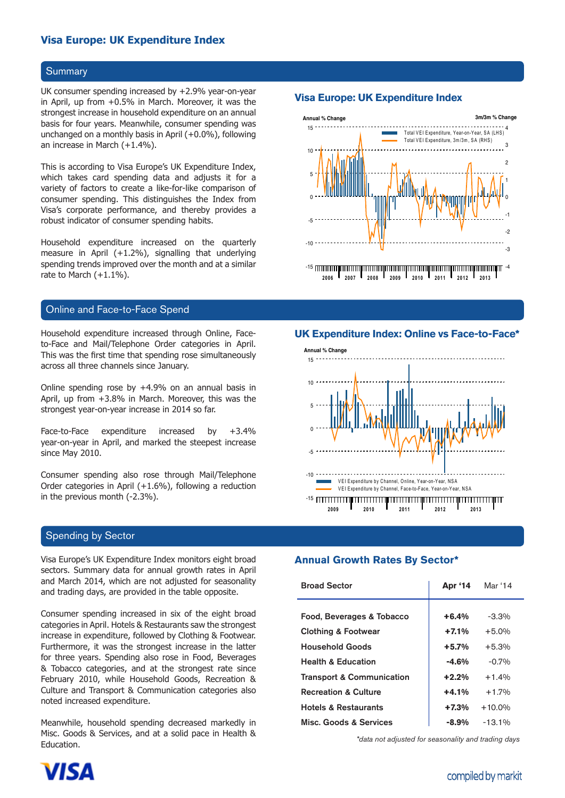# **Visa Europe: UK Expenditure Index Visa Europe: UK Expenditure Index**

#### **Summary**

UK consumer spending increased by +2.9% year-on-year in April, up from +0.5% in March. Moreover, it was the strongest increase in household expenditure on an annual basis for four years. Meanwhile, consumer spending was unchanged on a monthly basis in April (+0.0%), following an increase in March (+1.4%).

This is according to Visa Europe's UK Expenditure Index, which takes card spending data and adjusts it for a variety of factors to create a like-for-like comparison of consumer spending. This distinguishes the Index from Visa's corporate performance, and thereby provides a robust indicator of consumer spending habits.

Household expenditure increased on the quarterly measure in April (+1.2%), signalling that underlying spending trends improved over the month and at a similar rate to March (+1.1%).

# Online and Face-to-Face Spend

Household expenditure increased through Online, Faceto-Face and Mail/Telephone Order categories in April. This was the first time that spending rose simultaneously across all three channels since January.

Online spending rose by +4.9% on an annual basis in April, up from +3.8% in March. Moreover, this was the strongest year-on-year increase in 2014 so far.

Face-to-Face expenditure increased by +3.4% year-on-year in April, and marked the steepest increase since May 2010.

Consumer spending also rose through Mail/Telephone Order categories in April (+1.6%), following a reduction in the previous month (-2.3%).

### Spending by Sector

Visa Europe's UK Expenditure Index monitors eight broad sectors. Summary data for annual growth rates in April and March 2014, which are not adjusted for seasonality and trading days, are provided in the table opposite.

Consumer spending increased in six of the eight broad categories in April. Hotels & Restaurants saw the strongest increase in expenditure, followed by Clothing & Footwear. Furthermore, it was the strongest increase in the latter for three years. Spending also rose in Food, Beverages & Tobacco categories, and at the strongest rate since February 2010, while Household Goods, Recreation & Culture and Transport & Communication categories also noted increased expenditure.

Meanwhile, household spending decreased markedly in Misc. Goods & Services, and at a solid pace in Health & Education.

# **Visa Europe: UK Expenditure Index**



**2006 2007 2008 2009 2010 2011 2012 2013**

#### **UK Expenditure Index: Online vs Face-to-Face\***



#### **Annual Growth Rates By Sector\***

| <b>Broad Sector</b>                  | <b>Apr '14</b> | Mar '14   |  |
|--------------------------------------|----------------|-----------|--|
|                                      |                |           |  |
| Food, Beverages & Tobacco            | $+6.4%$        | $-3.3%$   |  |
| <b>Clothing &amp; Footwear</b>       | $+7.1%$        | $+5.0%$   |  |
| <b>Household Goods</b>               | $+5.7%$        | $+5.3%$   |  |
| <b>Health &amp; Education</b>        | $-4.6%$        | $-0.7%$   |  |
| <b>Transport &amp; Communication</b> | $+2.2%$        | $+1.4%$   |  |
| <b>Recreation &amp; Culture</b>      | $+4.1%$        | $+1.7%$   |  |
| <b>Hotels &amp; Restaurants</b>      | $+7.3%$        | $+10.0\%$ |  |
| <b>Misc. Goods &amp; Services</b>    | -8.9%          | $-13.1%$  |  |

*\*data not adjusted for seasonality and trading days*

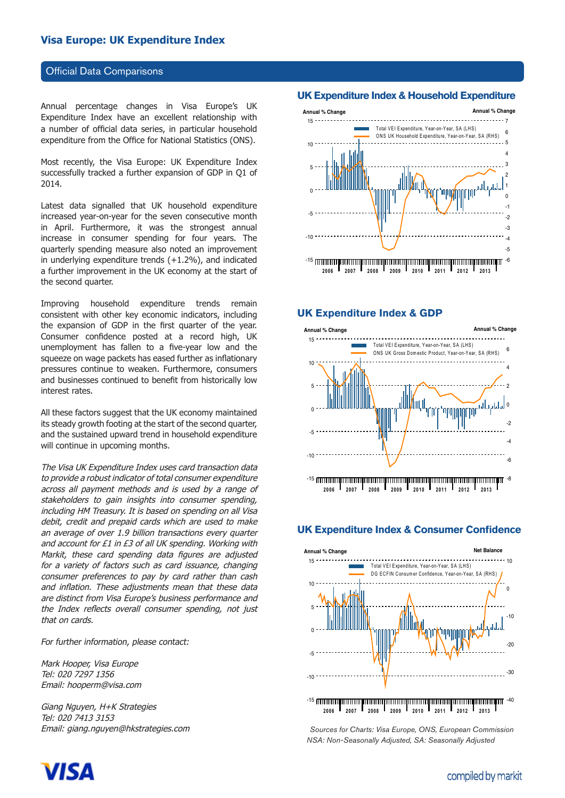## **Official Data Comparisons**

Annual percentage changes in Visa Europe's UK Expenditure Index have an excellent relationship with a number of official data series, in particular household expenditure from the Office for National Statistics (ONS).

Most recently, the Visa Europe: UK Expenditure Index successfully tracked a further expansion of GDP in Q1 of 2014.

Latest data signalled that UK household expenditure increased year-on-year for the seven consecutive month in April. Furthermore, it was the strongest annual increase in consumer spending for four years. The quarterly spending measure also noted an improvement in underlying expenditure trends (+1.2%), and indicated a further improvement in the UK economy at the start of the second quarter.

Improving household expenditure trends remain consistent with other key economic indicators, including the expansion of GDP in the first quarter of the year. Consumer confidence posted at a record high, UK unemployment has fallen to a five-year low and the squeeze on wage packets has eased further as inflationary pressures continue to weaken. Furthermore, consumers and businesses continued to benefit from historically low interest rates.

All these factors suggest that the UK economy maintained its steady growth footing at the start of the second quarter, and the sustained upward trend in household expenditure will continue in upcoming months.

The Visa UK Expenditure Index uses card transaction data to provide a robust indicator of total consumer expenditure across all payment methods and is used by a range of stakeholders to gain insights into consumer spending, including HM Treasury. It is based on spending on all Visa debit, credit and prepaid cards which are used to make an average of over 1.9 billion transactions every quarter and account for £1 in £3 of all UK spending. Working with Markit, these card spending data figures are adjusted for a variety of factors such as card issuance, changing consumer preferences to pay by card rather than cash and inflation. These adjustments mean that these data are distinct from Visa Europe's business performance and the Index reflects overall consumer spending, not just that on cards.

For further information, please contact:

Mark Hooper, Visa Europe Tel: 020 7297 1356 Email: hooperm@visa.com

Giang Nguyen, H+K Strategies Tel: 020 7413 3153 Email: giang.nguyen@hkstrategies.com

#### **UK Expenditure Index & Household Expenditure**

Your text



#### **UK Expenditure Index & GDP**



#### **UK Expenditure Index & Consumer Confidence**



*Sources for Charts: Visa Europe, ONS, European Commission NSA: Non-Seasonally Adjusted, SA: Seasonally Adjusted*